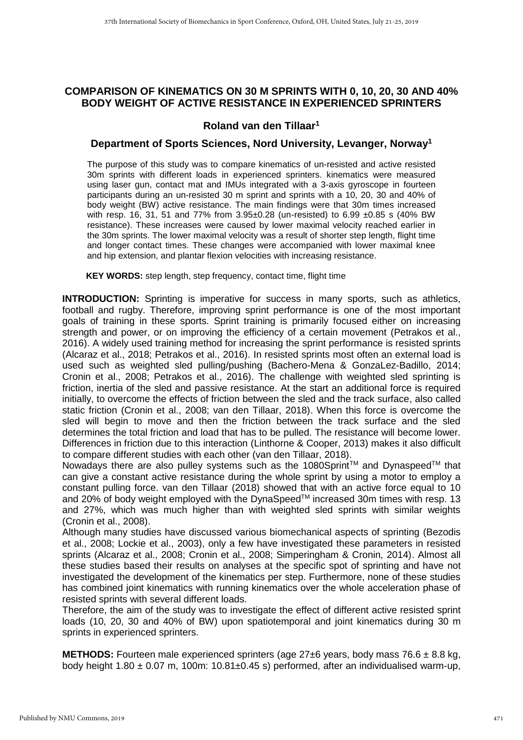## **COMPARISON OF KINEMATICS ON 30 M SPRINTS WITH 0, 10, 20, 30 AND 40% BODY WEIGHT OF ACTIVE RESISTANCE IN EXPERIENCED SPRINTERS**

## **Roland van den Tillaar<sup>1</sup>**

## **Department of Sports Sciences, Nord University, Levanger, Norway<sup>1</sup>**

The purpose of this study was to compare kinematics of un-resisted and active resisted 30m sprints with different loads in experienced sprinters. kinematics were measured using laser gun, contact mat and IMUs integrated with a 3-axis gyroscope in fourteen participants during an un-resisted 30 m sprint and sprints with a 10, 20, 30 and 40% of body weight (BW) active resistance. The main findings were that 30m times increased with resp. 16, 31, 51 and 77% from 3.95±0.28 (un-resisted) to 6.99 ±0.85 s (40% BW resistance). These increases were caused by lower maximal velocity reached earlier in the 30m sprints. The lower maximal velocity was a result of shorter step length, flight time and longer contact times. These changes were accompanied with lower maximal knee and hip extension, and plantar flexion velocities with increasing resistance.

**KEY WORDS:** step length, step frequency, contact time, flight time

**INTRODUCTION:** Sprinting is imperative for success in many sports, such as athletics, football and rugby. Therefore, improving sprint performance is one of the most important goals of training in these sports. Sprint training is primarily focused either on increasing strength and power, or on improving the efficiency of a certain movement (Petrakos et al., 2016). A widely used training method for increasing the sprint performance is resisted sprints (Alcaraz et al., 2018; Petrakos et al., 2016). In resisted sprints most often an external load is used such as weighted sled pulling/pushing (Bachero-Mena & GonzaLez-Badillo, 2014; Cronin et al., 2008; Petrakos et al., 2016). The challenge with weighted sled sprinting is friction, inertia of the sled and passive resistance. At the start an additional force is required initially, to overcome the effects of friction between the sled and the track surface, also called static friction (Cronin et al., 2008; van den Tillaar, 2018). When this force is overcome the sled will begin to move and then the friction between the track surface and the sled determines the total friction and load that has to be pulled. The resistance will become lower. Differences in friction due to this interaction (Linthorne & Cooper, 2013) makes it also difficult to compare different studies with each other (van den Tillaar, 2018).

Nowadays there are also pulley systems such as the 1080Sprint<sup>TM</sup> and Dynaspeed<sup>TM</sup> that can give a constant active resistance during the whole sprint by using a motor to employ a constant pulling force. van den Tillaar (2018) showed that with an active force equal to 10 and 20% of body weight employed with the DynaSpeed™ increased 30m times with resp. 13 and 27%, which was much higher than with weighted sled sprints with similar weights (Cronin et al., 2008).

Although many studies have discussed various biomechanical aspects of sprinting (Bezodis et al., 2008; Lockie et al., 2003), only a few have investigated these parameters in resisted sprints (Alcaraz et al., 2008; Cronin et al., 2008; Simperingham & Cronin, 2014). Almost all these studies based their results on analyses at the specific spot of sprinting and have not investigated the development of the kinematics per step. Furthermore, none of these studies has combined joint kinematics with running kinematics over the whole acceleration phase of resisted sprints with several different loads.

Therefore, the aim of the study was to investigate the effect of different active resisted sprint loads (10, 20, 30 and 40% of BW) upon spatiotemporal and joint kinematics during 30 m sprints in experienced sprinters.

**METHODS:** Fourteen male experienced sprinters (age  $27 \pm 6$  years, body mass  $76.6 \pm 8.8$  kg, body height  $1.80 \pm 0.07$  m,  $100$ m:  $10.81 \pm 0.45$  s) performed, after an individualised warm-up,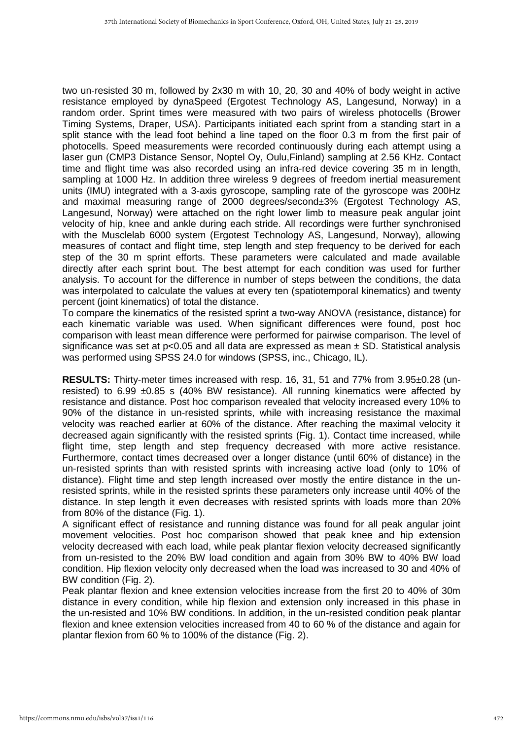two un-resisted 30 m, followed by 2x30 m with 10, 20, 30 and 40% of body weight in active resistance employed by dynaSpeed (Ergotest Technology AS, Langesund, Norway) in a random order. Sprint times were measured with two pairs of wireless photocells (Brower Timing Systems, Draper, USA). Participants initiated each sprint from a standing start in a split stance with the lead foot behind a line taped on the floor 0.3 m from the first pair of photocells. Speed measurements were recorded continuously during each attempt using a laser gun (CMP3 Distance Sensor, Noptel Oy, Oulu,Finland) sampling at 2.56 KHz. Contact time and flight time was also recorded using an infra-red device covering 35 m in length, sampling at 1000 Hz. In addition three wireless 9 degrees of freedom inertial measurement units (IMU) integrated with a 3-axis gyroscope, sampling rate of the gyroscope was 200Hz and maximal measuring range of 2000 degrees/second±3% (Ergotest Technology AS, Langesund, Norway) were attached on the right lower limb to measure peak angular joint velocity of hip, knee and ankle during each stride. All recordings were further synchronised with the Musclelab 6000 system (Ergotest Technology AS, Langesund, Norway), allowing measures of contact and flight time, step length and step frequency to be derived for each step of the 30 m sprint efforts. These parameters were calculated and made available directly after each sprint bout. The best attempt for each condition was used for further analysis. To account for the difference in number of steps between the conditions, the data was interpolated to calculate the values at every ten (spatiotemporal kinematics) and twenty percent (joint kinematics) of total the distance.

To compare the kinematics of the resisted sprint a two-way ANOVA (resistance, distance) for each kinematic variable was used. When significant differences were found, post hoc comparison with least mean difference were performed for pairwise comparison. The level of significance was set at  $p<0.05$  and all data are expressed as mean  $\pm$  SD. Statistical analysis was performed using SPSS 24.0 for windows (SPSS, inc., Chicago, IL).

**RESULTS:** Thirty-meter times increased with resp. 16, 31, 51 and 77% from 3.95±0.28 (unresisted) to 6.99  $\pm 0.85$  s (40% BW resistance). All running kinematics were affected by resistance and distance. Post hoc comparison revealed that velocity increased every 10% to 90% of the distance in un-resisted sprints, while with increasing resistance the maximal velocity was reached earlier at 60% of the distance. After reaching the maximal velocity it decreased again significantly with the resisted sprints (Fig. 1). Contact time increased, while flight time, step length and step frequency decreased with more active resistance. Furthermore, contact times decreased over a longer distance (until 60% of distance) in the un-resisted sprints than with resisted sprints with increasing active load (only to 10% of distance). Flight time and step length increased over mostly the entire distance in the unresisted sprints, while in the resisted sprints these parameters only increase until 40% of the distance. In step length it even decreases with resisted sprints with loads more than 20% from 80% of the distance (Fig. 1).

A significant effect of resistance and running distance was found for all peak angular joint movement velocities. Post hoc comparison showed that peak knee and hip extension velocity decreased with each load, while peak plantar flexion velocity decreased significantly from un-resisted to the 20% BW load condition and again from 30% BW to 40% BW load condition. Hip flexion velocity only decreased when the load was increased to 30 and 40% of BW condition (Fig. 2).

Peak plantar flexion and knee extension velocities increase from the first 20 to 40% of 30m distance in every condition, while hip flexion and extension only increased in this phase in the un-resisted and 10% BW conditions. In addition, in the un-resisted condition peak plantar flexion and knee extension velocities increased from 40 to 60 % of the distance and again for plantar flexion from 60 % to 100% of the distance (Fig. 2).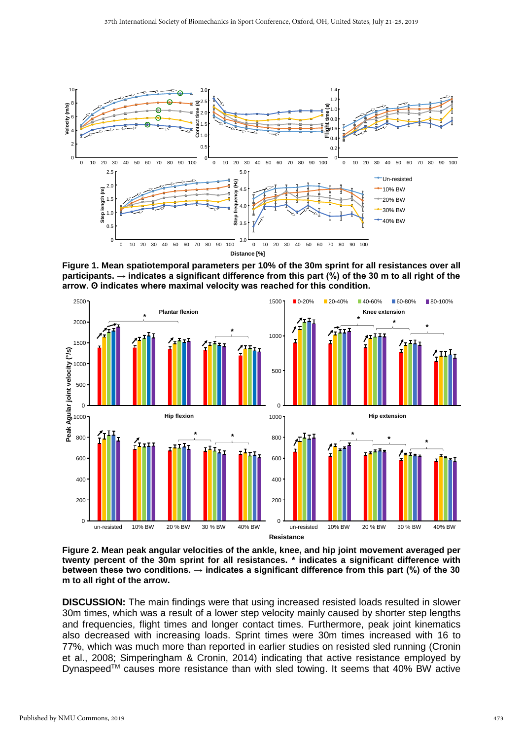

**Figure 1. Mean spatiotemporal parameters per 10% of the 30m sprint for all resistances over all participants. → indicates a significant difference from this part (%) of the 30 m to all right of the arrow. ʘ indicates where maximal velocity was reached for this condition.**



**Figure 2. Mean peak angular velocities of the ankle, knee, and hip joint movement averaged per twenty percent of the 30m sprint for all resistances. \* indicates a significant difference with between these two conditions. → indicates a significant difference from this part (%) of the 30 m to all right of the arrow.**

**DISCUSSION:** The main findings were that using increased resisted loads resulted in slower 30m times, which was a result of a lower step velocity mainly caused by shorter step lengths and frequencies, flight times and longer contact times. Furthermore, peak joint kinematics also decreased with increasing loads. Sprint times were 30m times increased with 16 to 77%, which was much more than reported in earlier studies on resisted sled running (Cronin et al., 2008; Simperingham & Cronin, 2014) indicating that active resistance employed by Dynaspeed™ causes more resistance than with sled towing. It seems that 40% BW active